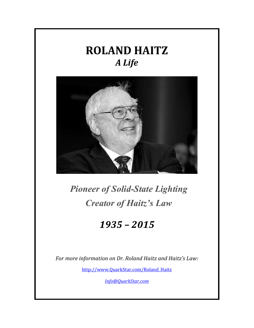## **ROLAND HAITZ**  *A Life*



## *Pioneer of Solid-State Lighting Creator of Haitz's Law*

## *1935 – 2015*

*For more information on Dr. Roland Haitz and Haitz's Law:*

[http://www.QuarkStar.com/Roland\\_Haitz](http://www.quarkstar.com/Roland_Haitz)

*[Info@QuarkStar.com](mailto:Info@QuarkStar.com)*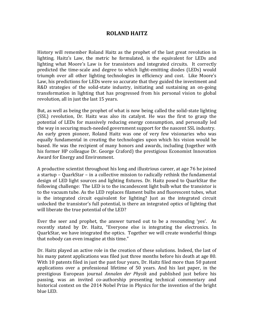## **ROLAND HAITZ**

History will remember Roland Haitz as the prophet of the last great revolution in lighting. Haitz's Law, the metric he formulated, is the equivalent for LEDs and lighting what Moore's Law is for transistors and integrated circuits. It correctly predicted the time-scale and degree to which light-emitting diodes (LEDs) would triumph over all other lighting technologies in efficiency and cost. Like Moore's Law, his predictions for LEDs were so accurate that they guided the investment and R&D strategies of the solid-state industry, initiating and sustaining an on-going transformation in lighting that has progressed from his personal vision to global revolution, all in just the last 15 years.

But, as well as being the prophet of what is now being called the solid-state lighting (SSL) revolution, Dr. Haitz was also its catalyst. He was the first to grasp the potential of LEDs for massively reducing energy consumption, and personally led the way in securing much-needed government support for the nascent SSL industry. An early green pioneer, Roland Haitz was one of very few visionaries who was equally fundamental in creating the technologies upon which his vision would be based. He was the recipient of many honors and awards, including (together with his former HP colleague Dr. George Craford) the prestigious Economist Innovation Award for Energy and Environment.

A productive scientist throughout his long and illustrious career, at age 76 he joined a startup – QuarkStar – in a collective mission to radically rethink the fundamental design of LED light sources and lighting fixtures. Dr. Haitz posed to QuarkStar the following challenge: The LED is to the incandescent light bulb what the transistor is to the vacuum tube. As the LED replaces filament bulbs and fluorescent tubes, what is the integrated circuit equivalent for lighting? Just as the integrated circuit unlocked the transistor's full potential, is there an integrated optics of lighting that will liberate the true potential of the LED?

Ever the seer and prophet, the answer turned out to be a resounding 'yes'. As recently stated by Dr. Haitz, "Everyone else is integrating the electronics. In QuarkStar, we have integrated the optics. Together we will create wonderful things that nobody can even imagine at this time."

Dr. Haitz played an active role in the creation of these solutions. Indeed, the last of his many patent applications was filed just three months before his death at age 80. With 10 patents filed in just the past four years, Dr. Haitz filed more than 50 patent applications over a professional lifetime of 50 years. And his last paper, in the prestigious European journal *Annalen der Physik* and published just before his passing*,* was an invited co-authorship presenting technical commentary and historical context on the 2014 Nobel Prize in Physics for the invention of the bright blue LED.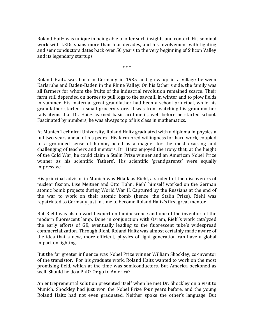Roland Haitz was unique in being able to offer such insights and context. His seminal work with LEDs spans more than four decades, and his involvement with lighting and semiconductors dates back over 50 years to the very beginning of Silicon Valley and its legendary startups.

\* \* \*

Roland Haitz was born in Germany in 1935 and grew up in a village between Karlsruhe and Baden-Baden in the Rhine Valley. On his father's side, the family was all farmers for whom the fruits of the industrial revolution remained scarce. Their farm still depended on horses to pull logs to the sawmill in winter and to plow fields in summer. His maternal great-grandfather had been a school principal, while his grandfather started a small grocery store. It was from watching his grandmother tally items that Dr. Haitz learned basic arithmetic, well before he started school. Fascinated by numbers, he was always top of his class in mathematics.

At Munich Technical University, Roland Haitz graduated with a diploma in physics a full two years ahead of his peers. His farm-bred willingness for hard work, coupled to a grounded sense of humor, acted as a magnet for the most exacting and challenging of teachers and mentors. Dr. Haitz enjoyed the irony that, at the height of the Cold War, he could claim a Stalin Prize winner and an American Nobel Prize winner as his scientific 'fathers'. His scientific 'grandparents' were equally impressive.

His principal advisor in Munich was Nikolaus Riehl, a student of the discoverers of nuclear fission, Lise Meitner and Otto Hahn. Riehl himself worked on the German atomic bomb projects during World War II. Captured by the Russians at the end of the war to work on their atomic bomb (hence, the Stalin Prize), Riehl was repatriated to Germany just in time to become Roland Haitz's first great mentor.

But Riehl was also a world expert on luminescence and one of the inventors of the modern fluorescent lamp. Done in conjunction with Osram, Riehl's work catalyzed the early efforts of GE, eventually leading to the fluorescent tube's widespread commercialization. Through Riehl, Roland Haitz was almost certainly made aware of the idea that a new, more efficient, physics of light generation can have a global impact on lighting.

But the far greater influence was Nobel Prize winner William Shockley, co-inventor of the transistor. For his graduate work, Roland Haitz wanted to work on the most promising field, which at the time was semiconductors. But America beckoned as well. Should he do a PhD? Or go to America?

An entrepreneurial solution presented itself when he met Dr. Shockley on a visit to Munich. Shockley had just won the Nobel Prize four years before, and the young Roland Haitz had not even graduated. Neither spoke the other's language. But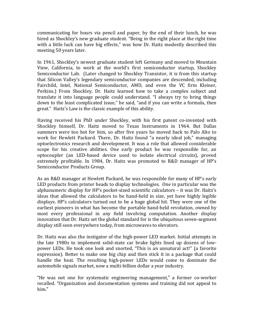communicating for hours via pencil and paper, by the end of their lunch, he was hired as Shockley's new graduate student. "Being in the right place at the right time with a little luck can have big effects," was how Dr. Haitz modestly described this meeting 50 years later.

In 1961, Shockley's newest graduate student left Germany and moved to Mountain View, California, to work at the world's first semiconductor startup, Shockley Semiconductor Lab. (Later changed to Shockley Transistor, it is from this startup that Silicon Valley's legendary semiconductor companies are descended, including Fairchild, Intel, National Semiconductor, AMD, and even the VC firm Kleiner, Perkins.) From Shockley, Dr. Haitz learned how to take a complex subject and translate it into language people could understand. "I always try to bring things down to the least complicated issue," he said, "and if you can write a formula, then great." Haitz's Law is the classic example of this ability.

Having received his PhD under Shockley, with his first patent co-invented with Shockley himself, Dr. Haitz moved to Texas Instruments in 1964. But Dallas summers were too hot for him, so after five years he moved back to Palo Alto to work for Hewlett Packard. There, Dr. Haitz found "a nearly ideal job," managing optoelectronics research and development. It was a role that allowed considerable scope for his creative abilities. One early product he was responsible for, an optocoupler (an LED-based device used to isolate electrical circuits), proved extremely profitable. In 1984, Dr. Haitz was promoted to R&D manager of HP's Semiconductor Products Group.

As an R&D manager at Hewlett Packard, he was responsible for many of HP's early LED products from printer heads to display technologies. One in particular was the alphanumeric display for HP's pocket-sized scientific calculators – it was Dr. Haitz's ideas that allowed the calculators to be hand-held in size, yet have highly legible displays. HP's calculators turned out to be a huge global hit. They were one of the earliest pioneers in what has become the portable hand-held revolution, owned by most every professional in any field involving computation. Another display innovation that Dr. Haitz set the global standard for is the ubiquitous seven-segment display still seen everywhere today, from microwaves to elevators.

Dr. Haitz was also the instigator of the high-power LED market. Initial attempts in the late 1980s to implement solid-state car brake lights lined up dozens of lowpower LEDs. He took one look and snorted, "This is an unnatural act!" (a favorite expression). Better to make one big chip and then stick it in a package that could handle the heat. The resulting high-power LEDs would come to dominate the automobile signals market, now a multi-billion dollar a year industry.

"He was not one for systematic engineering management," a former co-worker recalled. "Organization and documentation systems and training did not appeal to him."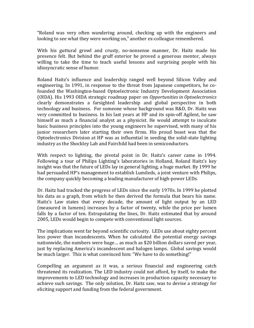"Roland was very often wandering around, checking up with the engineers and looking to see what they were working on," another ex-colleague remembered.

With his guttural growl and crusty, no-nonsense manner, Dr. Haitz made his presence felt. But behind the gruff exterior he proved a generous mentor, always willing to take the time to teach useful lessons and surprising people with his idiosyncratic sense of humor.

Roland Haitz's influence and leadership ranged well beyond Silicon Valley and engineering. In 1991, in response to the threat from Japanese competitors, he cofounded the Washington-based Optoelectronic Industry Development Association (OIDA). His 1993 OIDA strategic roadmap paper on *Opportunities in Optoelectronics* clearly demonstrates a farsighted leadership and global perspective in both technology and business. For someone whose background was R&D, Dr. Haitz was very committed to business. In his last years at HP and its spin-off Agilent, he saw himself as much a financial analyst as a physicist. He would attempt to inculcate basic business principles into the young engineers he supervised, with many of his junior researchers later starting their own firms. His proud boast was that the Optoelectronics Division at HP was as influential in seeding the solid-state lighting industry as the Shockley Lab and Fairchild had been in semiconductors.

With respect to lighting, the pivotal point in Dr. Haitz's career came in 1994. Following a tour of Philips Lighting's laboratories in Holland, Roland Haitz's key insight was that the future of LEDs lay in general lighting, a huge market. By 1999 he had persuaded HP's management to establish Lumileds, a joint venture with Philips, the company quickly becoming a leading manufacturer of high-power LEDs.

Dr. Haitz had tracked the progress of LEDs since the early 1970s. In 1999 he plotted his data as a graph, from which he then derived the formula that bears his name. Haitz's Law states that every decade, the amount of light output by an LED (measured in lumens) increases by a factor of twenty, while the price per lumen falls by a factor of ten. Extrapolating the lines, Dr. Haitz estimated that by around 2005, LEDs would begin to compete with conventional light sources.

The implications went far beyond scientific curiosity. LEDs use about eighty percent less power than incandescents. When he calculated the potential energy savings nationwide, the numbers were huge… as much as \$20 billion dollars saved per year, just by replacing America's incandescent and halogen lamps. Global savings would be much larger. This is what convinced him: "We have to do something!"

Compelling an argument as it was, a serious financial and engineering catch threatened its realization. The LED industry could not afford, by itself, to make the improvements to LED technology and increases in production capacity necessary to achieve such savings. The only solution, Dr. Haitz saw, was to devise a strategy for eliciting support and funding from the federal government.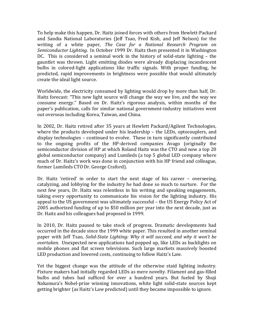To help make this happen, Dr. Haitz joined forces with others from Hewlett-Packard and Sandia National Laboratories (Jeff Tsao, Fred Kish, and Jeff Nelson) for the writing of a white paper, *The Case for a National Research Program on Semiconductor Lighting.* In October 1999 Dr. Haitz then presented it in Washington DC. This is considered a seminal work in the history of solid-state lighting – the gauntlet was thrown. Light emitting diodes were already displacing incandescent bulbs in colored-light applications like traffic signals. With proper funding, he predicted, rapid improvements in brightness were possible that would ultimately create the ideal light source.

Worldwide, the electricity consumed by lighting would drop by more than half, Dr. Haitz forecast: "This new light source will change the way we live, and the way we consume energy." Based on Dr. Haitz's rigorous analysis, within months of the paper's publication, calls for similar national government-industry initiatives went out overseas including Korea, Taiwan, and China.

In 2002, Dr. Haitz retired after 35 years at Hewlett Packard/Agilent Technologies, where the products developed under his leadership – the LEDs, optocouplers, and display technologies – continued to evolve. These in turn significantly contributed to the ongoing profits of the HP-derived companies Avago (originally the semiconductor division of HP at which Roland Haitz was the CTO and now a top 20 global semiconductor company) and Lumileds (a top 5 global LED company where much of Dr. Haitz's work was done in conjunction with his HP friend and colleague, former Lumileds CTO Dr. George Craford).

Dr. Haitz 'retired' in order to start the next stage of his career – overseeing, catalyzing, and lobbying for the industry he had done so much to nurture. For the next few years, Dr. Haitz was relentless in his writing and speaking engagements, taking every opportunity to communicate his vision for the lighting industry. His appeal to the US government was ultimately successful – the US Energy Policy Act of 2005 authorized funding of up to \$50 million per year into the next decade, just as Dr. Haitz and his colleagues had proposed in 1999.

In 2010, Dr. Haitz paused to take stock of progress. Dramatic developments had occurred in the decade since the 1999 white paper. This resulted in another seminal paper with Jeff Tsao, *Solid-State Lighting: Why it will succeed, and why it won't be overtaken.* Unexpected new applications had popped up, like LEDs as backlights on mobile phones and flat screen televisions. Such large markets massively boosted LED production and lowered costs, continuing to follow Haitz's Law.

Yet the biggest change was the attitude of the otherwise staid lighting industry. Fixture makers had initially regarded LEDs as mere novelty. Filament and gas-filled bulbs and tubes had sufficed for over a hundred years. But fueled by Shuji Nakamura's Nobel-prize winning innovations, white light solid-state sources kept getting brighter (as Haitz's Law predicted) until they became impossible to ignore.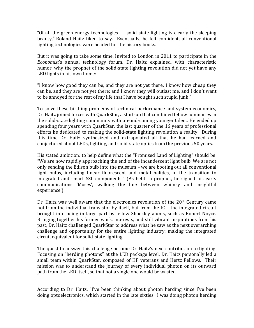"Of all the green energy technologies … solid state lighting is clearly the sleeping beauty," Roland Haitz liked to say. Eventually, he felt confident, all conventional lighting technologies were headed for the history books.

But it was going to take some time. Invited to London in 2011 to participate in the *Economist*'s annual technology forum, Dr. Haitz explained, with characteristic humor, why the prophet of the solid-state lighting revolution did not yet have any LED lights in his own home:

"I know how good they can be, and they are not yet there; I know how cheap they can be, and they are not yet there; and I know they will outlast me, and I don't want to be annoyed for the rest of my life that I have bought such stupid junk!"

To solve these birthing problems of technical performance and system economics, Dr. Haitz joined forces with QuarkStar, a start-up that combined fellow luminaries in the solid-state lighting community with up-and-coming younger talent. He ended up spending four years with QuarkStar, the last quarter of the 16 years of professional efforts he dedicated to making the solid-state lighting revolution a reality. During this time Dr. Haitz synthesized and extrapolated all that he had learned and conjectured about LEDs, lighting, and solid-state optics from the previous 50 years.

His stated ambition: to help define what the "Promised Land of Lighting" should be. "We are now rapidly approaching the end of the incandescent light bulb. We are not only sending the Edison bulb into the museum – we are booting out all conventional light bulbs, including linear fluorescent and metal halides, in the transition to integrated and smart SSL components." (As befits a prophet, he signed his early communications 'Moses', walking the line between whimsy and insightful experience.)

Dr. Haitz was well aware that the electronics revolution of the 20<sup>th</sup> Century came not from the individual transistor by itself, but from the IC – the integrated circuit brought into being in large part by fellow Shockley alums, such as Robert Noyce. Bringing together his former work, interests, and still vibrant inspirations from his past, Dr. Haitz challenged QuarkStar to address what he saw as the next overarching challenge and opportunity for the entire lighting industry: making the integrated circuit equivalent for solid-state lighting.

The quest to answer this challenge became Dr. Haitz's next contribution to lighting. Focusing on "herding photons" at the LED package level, Dr. Haitz personally led a small team within QuarkStar, composed of HP veterans and Hertz Fellows. Their mission was to understand the journey of every individual photon on its outward path from the LED itself, so that not a single one would be wasted.

According to Dr. Haitz, "I've been thinking about photon herding since I've been doing optoelectronics, which started in the late sixties. I was doing photon herding